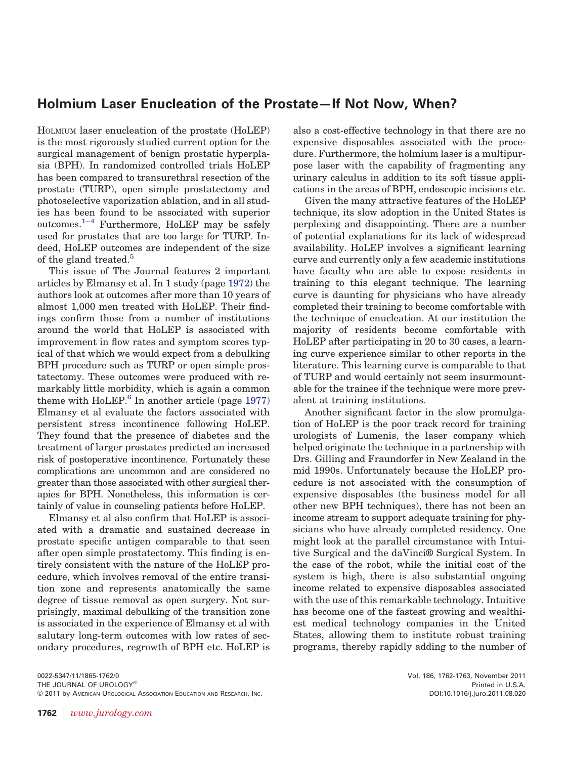## **Holmium Laser Enucleation of the Prostate—If Not Now, When?**

HOLMIUM laser enucleation of the prostate (HoLEP) is the most rigorously studied current option for the surgical management of benign prostatic hyperplasia (BPH). In randomized controlled trials HoLEP has been compared to transurethral resection of the prostate (TURP), open simple prostatectomy and photoselective vaporization ablation, and in all studies has been found to be associated with superior outcomes. $1-4$  Furthermore, HoLEP may be safely used for prostates that are too large for TURP. Indeed, HoLEP outcomes are independent of the size of the gland treated.<sup>5</sup>

This issue of The Journal features 2 important articles by Elmansy et al. In 1 study (page [1972\)](http://linkinghub.elsevier.com/retrieve/pii/S0022534711043448) the authors look at outcomes after more than 10 years of almost 1,000 men treated with HoLEP. Their findings confirm those from a number of institutions around the world that HoLEP is associated with improvement in flow rates and symptom scores typical of that which we would expect from a debulking BPH procedure such as TURP or open simple prostatectomy. These outcomes were produced with remarkably little morbidity, which is again a common theme with  $HoLEP<sup>6</sup>$  $HoLEP<sup>6</sup>$  $HoLEP<sup>6</sup>$ . In another article (page [1977\)](http://linkinghub.elsevier.com/retrieve/pii/S0022534711043424) Elmansy et al evaluate the factors associated with persistent stress incontinence following HoLEP. They found that the presence of diabetes and the treatment of larger prostates predicted an increased risk of postoperative incontinence. Fortunately these complications are uncommon and are considered no greater than those associated with other surgical therapies for BPH. Nonetheless, this information is certainly of value in counseling patients before HoLEP.

Elmansy et al also confirm that HoLEP is associated with a dramatic and sustained decrease in prostate specific antigen comparable to that seen after open simple prostatectomy. This finding is entirely consistent with the nature of the HoLEP procedure, which involves removal of the entire transition zone and represents anatomically the same degree of tissue removal as open surgery. Not surprisingly, maximal debulking of the transition zone is associated in the experience of Elmansy et al with salutary long-term outcomes with low rates of secondary procedures, regrowth of BPH etc. HoLEP is

0022-5347/11/1865-1762/0 Vol. 186, 1762-1763, November 2011 THE JOURNAL OF UROLOGY® Printed in U.S.A. © 2011 by AMERICAN UROLOGICAL ASSOCIATION EDUCATION AND RESEARCH, INC.

also a cost-effective technology in that there are no expensive disposables associated with the procedure. Furthermore, the holmium laser is a multipurpose laser with the capability of fragmenting any urinary calculus in addition to its soft tissue applications in the areas of BPH, endoscopic incisions etc.

Given the many attractive features of the HoLEP technique, its slow adoption in the United States is perplexing and disappointing. There are a number of potential explanations for its lack of widespread availability. HoLEP involves a significant learning curve and currently only a few academic institutions have faculty who are able to expose residents in training to this elegant technique. The learning curve is daunting for physicians who have already completed their training to become comfortable with the technique of enucleation. At our institution the majority of residents become comfortable with HoLEP after participating in 20 to 30 cases, a learning curve experience similar to other reports in the literature. This learning curve is comparable to that of TURP and would certainly not seem insurmountable for the trainee if the technique were more prevalent at training institutions.

Another significant factor in the slow promulgation of HoLEP is the poor track record for training urologists of Lumenis, the laser company which helped originate the technique in a partnership with Drs. Gilling and Fraundorfer in New Zealand in the mid 1990s. Unfortunately because the HoLEP procedure is not associated with the consumption of expensive disposables (the business model for all other new BPH techniques), there has not been an income stream to support adequate training for physicians who have already completed residency. One might look at the parallel circumstance with Intuitive Surgical and the daVinci® Surgical System. In the case of the robot, while the initial cost of the system is high, there is also substantial ongoing income related to expensive disposables associated with the use of this remarkable technology. Intuitive has become one of the fastest growing and wealthiest medical technology companies in the United States, allowing them to institute robust training programs, thereby rapidly adding to the number of